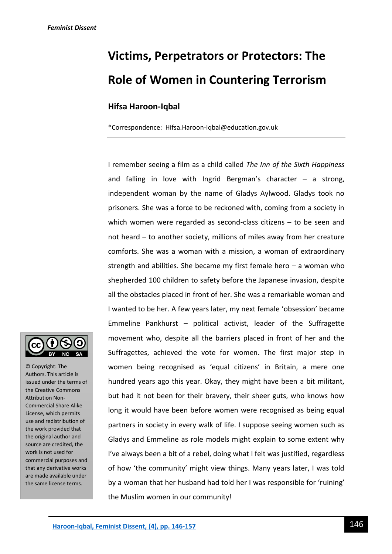# **Victims, Perpetrators or Protectors: The Role of Women in Countering Terrorism**

# **Hifsa Haroon-Iqbal**

\*Correspondence: Hifsa.Haroon-Iqbal@education.gov.uk

I remember seeing a film as a child called *The Inn of the Sixth Happiness* and falling in love with Ingrid Bergman's character  $-$  a strong, independent woman by the name of Gladys Aylwood. Gladys took no prisoners. She was a force to be reckoned with, coming from a society in which women were regarded as second-class citizens – to be seen and not heard – to another society, millions of miles away from her creature comforts. She was a woman with a mission, a woman of extraordinary strength and abilities. She became my first female hero  $-$  a woman who shepherded 100 children to safety before the Japanese invasion, despite all the obstacles placed in front of her. She was a remarkable woman and I wanted to be her. A few years later, my next female 'obsession' became Emmeline Pankhurst – political activist, leader of the Suffragette movement who, despite all the barriers placed in front of her and the Suffragettes, achieved the vote for women. The first major step in women being recognised as 'equal citizens' in Britain, a mere one hundred years ago this year. Okay, they might have been a bit militant, but had it not been for their bravery, their sheer guts, who knows how long it would have been before women were recognised as being equal partners in society in every walk of life. I suppose seeing women such as Gladys and Emmeline as role models might explain to some extent why I've always been a bit of a rebel, doing what I felt was justified, regardless of how 'the community' might view things. Many years later, I was told by a woman that her husband had told her I was responsible for 'ruining' the Muslim women in our community!



© Copyright: The Authors. This article is issued under the terms of the Creative Commons Attribution Non-Commercial Share Alike License, which permits use and redistribution of the work provided that the original author and source are credited, the work is not used for commercial purposes and that any derivative works are made available under the same license terms.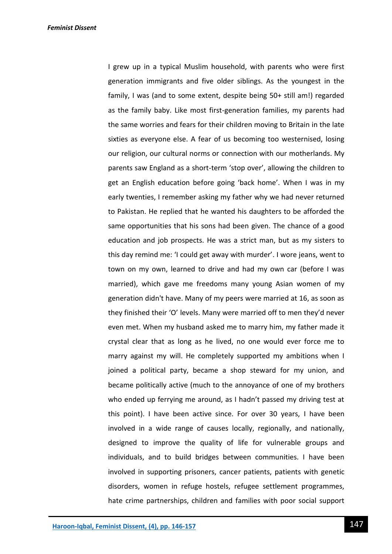I grew up in a typical Muslim household, with parents who were first generation immigrants and five older siblings. As the youngest in the family, I was (and to some extent, despite being 50+ still am!) regarded as the family baby. Like most first-generation families, my parents had the same worries and fears for their children moving to Britain in the late sixties as everyone else. A fear of us becoming too westernised, losing our religion, our cultural norms or connection with our motherlands. My parents saw England as a short-term 'stop over', allowing the children to get an English education before going 'back home'. When I was in my early twenties, I remember asking my father why we had never returned to Pakistan. He replied that he wanted his daughters to be afforded the same opportunities that his sons had been given. The chance of a good education and job prospects. He was a strict man, but as my sisters to this day remind me: 'I could get away with murder'. I wore jeans, went to town on my own, learned to drive and had my own car (before I was married), which gave me freedoms many young Asian women of my generation didn't have. Many of my peers were married at 16, as soon as they finished their 'O' levels. Many were married off to men they'd never even met. When my husband asked me to marry him, my father made it crystal clear that as long as he lived, no one would ever force me to marry against my will. He completely supported my ambitions when I joined a political party, became a shop steward for my union, and became politically active (much to the annoyance of one of my brothers who ended up ferrying me around, as I hadn't passed my driving test at this point). I have been active since. For over 30 years, I have been involved in a wide range of causes locally, regionally, and nationally, designed to improve the quality of life for vulnerable groups and individuals, and to build bridges between communities. I have been involved in supporting prisoners, cancer patients, patients with genetic disorders, women in refuge hostels, refugee settlement programmes, hate crime partnerships, children and families with poor social support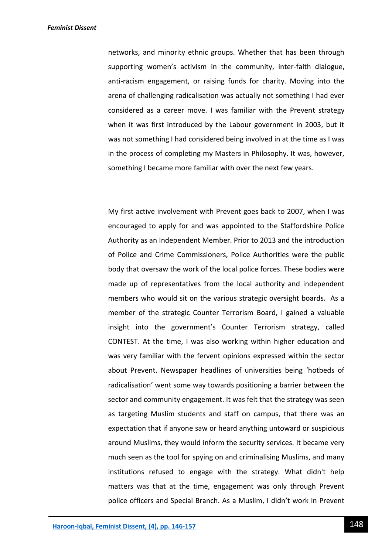networks, and minority ethnic groups. Whether that has been through supporting women's activism in the community, inter-faith dialogue, anti-racism engagement, or raising funds for charity. Moving into the arena of challenging radicalisation was actually not something I had ever considered as a career move. I was familiar with the Prevent strategy when it was first introduced by the Labour government in 2003, but it was not something I had considered being involved in at the time as I was in the process of completing my Masters in Philosophy. It was, however, something I became more familiar with over the next few years.

My first active involvement with Prevent goes back to 2007, when I was encouraged to apply for and was appointed to the Staffordshire Police Authority as an Independent Member. Prior to 2013 and the introduction of Police and Crime Commissioners, Police Authorities were the public body that oversaw the work of the local police forces. These bodies were made up of representatives from the local authority and independent members who would sit on the various strategic oversight boards. As a member of the strategic Counter Terrorism Board, I gained a valuable insight into the government's Counter Terrorism strategy, called CONTEST. At the time, I was also working within higher education and was very familiar with the fervent opinions expressed within the sector about Prevent. Newspaper headlines of universities being 'hotbeds of radicalisation' went some way towards positioning a barrier between the sector and community engagement. It was felt that the strategy was seen as targeting Muslim students and staff on campus, that there was an expectation that if anyone saw or heard anything untoward or suspicious around Muslims, they would inform the security services. It became very much seen as the tool for spying on and criminalising Muslims, and many institutions refused to engage with the strategy. What didn't help matters was that at the time, engagement was only through Prevent police officers and Special Branch. As a Muslim, I didn't work in Prevent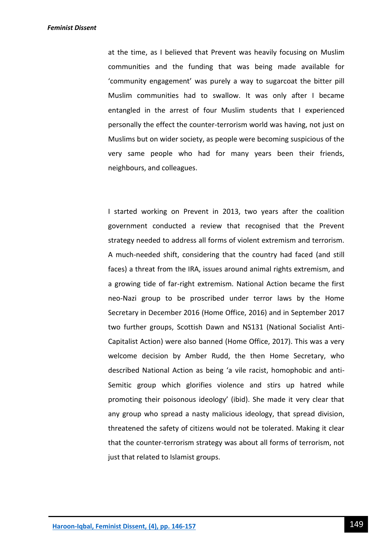at the time, as I believed that Prevent was heavily focusing on Muslim communities and the funding that was being made available for 'community engagement' was purely a way to sugarcoat the bitter pill Muslim communities had to swallow. It was only after I became entangled in the arrest of four Muslim students that I experienced personally the effect the counter-terrorism world was having, not just on Muslims but on wider society, as people were becoming suspicious of the very same people who had for many years been their friends, neighbours, and colleagues.

I started working on Prevent in 2013, two years after the coalition government conducted a review that recognised that the Prevent strategy needed to address all forms of violent extremism and terrorism. A much-needed shift, considering that the country had faced (and still faces) a threat from the IRA, issues around animal rights extremism, and a growing tide of far-right extremism. National Action became the first neo-Nazi group to be proscribed under terror laws by the Home Secretary in December 2016 (Home Office, 2016) and in September 2017 two further groups, Scottish Dawn and NS131 (National Socialist Anti-Capitalist Action) were also banned (Home Office, 2017). This was a very welcome decision by Amber Rudd, the then Home Secretary, who described National Action as being 'a vile racist, homophobic and anti-Semitic group which glorifies violence and stirs up hatred while promoting their poisonous ideology' (ibid). She made it very clear that any group who spread a nasty malicious ideology, that spread division, threatened the safety of citizens would not be tolerated. Making it clear that the counter-terrorism strategy was about all forms of terrorism, not just that related to Islamist groups.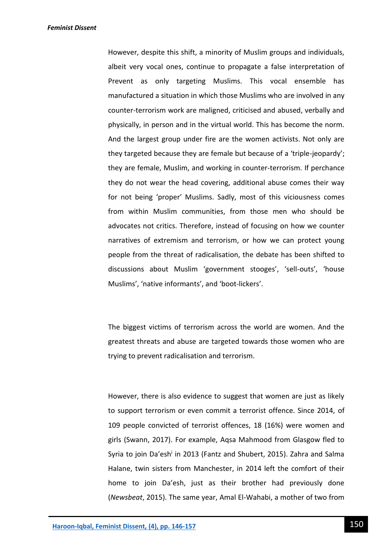However, despite this shift, a minority of Muslim groups and individuals, albeit very vocal ones, continue to propagate a false interpretation of Prevent as only targeting Muslims. This vocal ensemble has manufactured a situation in which those Muslims who are involved in any counter-terrorism work are maligned, criticised and abused, verbally and physically, in person and in the virtual world. This has become the norm. And the largest group under fire are the women activists. Not only are they targeted because they are female but because of a 'triple-jeopardy'; they are female, Muslim, and working in counter-terrorism. If perchance they do not wear the head covering, additional abuse comes their way for not being 'proper' Muslims. Sadly, most of this viciousness comes from within Muslim communities, from those men who should be advocates not critics. Therefore, instead of focusing on how we counter narratives of extremism and terrorism, or how we can protect young people from the threat of radicalisation, the debate has been shifted to discussions about Muslim 'government stooges', 'sell-outs', 'house Muslims', 'native informants', and 'boot-lickers'.

The biggest victims of terrorism across the world are women. And the greatest threats and abuse are targeted towards those women who are trying to prevent radicalisation and terrorism.

However, there is also evidence to suggest that women are just as likely to support terrorism or even commit a terrorist offence. Since 2014, of 109 people convicted of terrorist offences, 18 (16%) were women and girls (Swann, 2017). For example, Aqsa Mahmood from Glasgow fled to Syria to join Da'esh<sup>i</sup> in 2013 (Fantz and Shubert, 2015). Zahra and Salma Halane, twin sisters from Manchester, in 2014 left the comfort of their home to join Da'esh, just as their brother had previously done (*Newsbeat*, 2015). The same year, Amal El-Wahabi, a mother of two from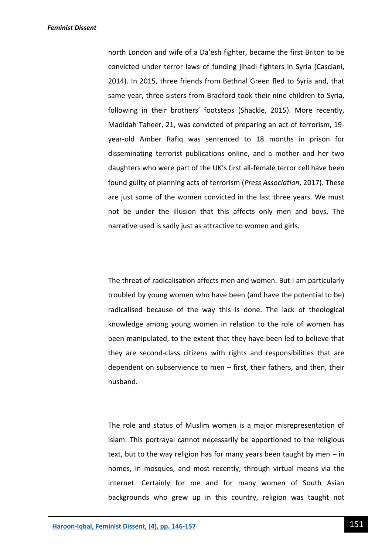north London and wife of a Da'esh fighter, became the first Briton to be convicted under terror laws of funding jihadi fighters in Syria (Casciani, 2014). In 2015, three friends from Bethnal Green fled to Syria and, that same year, three sisters from Bradford took their nine children to Syria, following in their brothers' footsteps (Shackle, 2015). More recently, Madidah Taheer, 21, was convicted of preparing an act of terrorism, 19 year-old Amber Rafiq was sentenced to 18 months in prison for disseminating terrorist publications online, and a mother and her two daughters who were part of the UK's first all-female terror cell have been found guilty of planning acts of terrorism (*Press Association*, 2017). These are just some of the women convicted in the last three years. We must not be under the illusion that this affects only men and boys. The narrative used is sadly just as attractive to women and girls.

The threat of radicalisation affects men and women. But I am particularly troubled by young women who have been (and have the potential to be) radicalised because of the way this is done. The lack of theological knowledge among young women in relation to the role of women has been manipulated, to the extent that they have been led to believe that they are second-class citizens with rights and responsibilities that are dependent on subservience to men – first, their fathers, and then, their husband.

The role and status of Muslim women is a major misrepresentation of Islam. This portrayal cannot necessarily be apportioned to the religious text, but to the way religion has for many years been taught by men – in homes, in mosques, and most recently, through virtual means via the internet. Certainly for me and for many women of South Asian backgrounds who grew up in this country, religion was taught not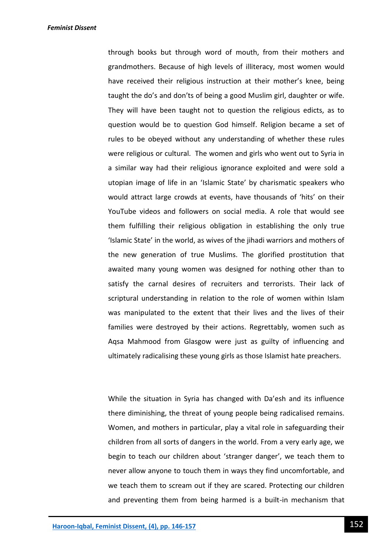through books but through word of mouth, from their mothers and grandmothers. Because of high levels of illiteracy, most women would have received their religious instruction at their mother's knee, being taught the do's and don'ts of being a good Muslim girl, daughter or wife. They will have been taught not to question the religious edicts, as to question would be to question God himself. Religion became a set of rules to be obeyed without any understanding of whether these rules were religious or cultural. The women and girls who went out to Syria in a similar way had their religious ignorance exploited and were sold a utopian image of life in an 'Islamic State' by charismatic speakers who would attract large crowds at events, have thousands of 'hits' on their YouTube videos and followers on social media. A role that would see them fulfilling their religious obligation in establishing the only true 'Islamic State' in the world, as wives of the jihadi warriors and mothers of the new generation of true Muslims. The glorified prostitution that awaited many young women was designed for nothing other than to satisfy the carnal desires of recruiters and terrorists. Their lack of scriptural understanding in relation to the role of women within Islam was manipulated to the extent that their lives and the lives of their families were destroyed by their actions. Regrettably, women such as Aqsa Mahmood from Glasgow were just as guilty of influencing and ultimately radicalising these young girls as those Islamist hate preachers.

While the situation in Syria has changed with Da'esh and its influence there diminishing, the threat of young people being radicalised remains. Women, and mothers in particular, play a vital role in safeguarding their children from all sorts of dangers in the world. From a very early age, we begin to teach our children about 'stranger danger', we teach them to never allow anyone to touch them in ways they find uncomfortable, and we teach them to scream out if they are scared. Protecting our children and preventing them from being harmed is a built-in mechanism that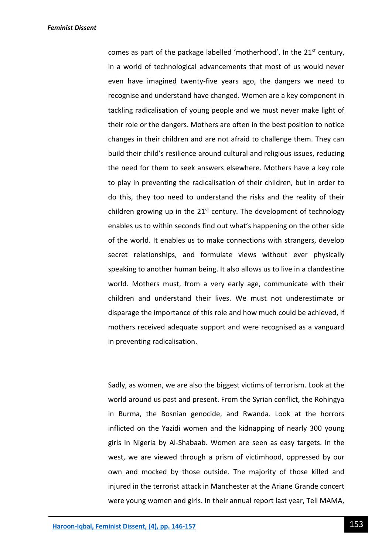comes as part of the package labelled 'motherhood'. In the  $21^{st}$  century, in a world of technological advancements that most of us would never even have imagined twenty-five years ago, the dangers we need to recognise and understand have changed. Women are a key component in tackling radicalisation of young people and we must never make light of their role or the dangers. Mothers are often in the best position to notice changes in their children and are not afraid to challenge them. They can build their child's resilience around cultural and religious issues, reducing the need for them to seek answers elsewhere. Mothers have a key role to play in preventing the radicalisation of their children, but in order to do this, they too need to understand the risks and the reality of their children growing up in the  $21<sup>st</sup>$  century. The development of technology enables us to within seconds find out what's happening on the other side of the world. It enables us to make connections with strangers, develop secret relationships, and formulate views without ever physically speaking to another human being. It also allows us to live in a clandestine world. Mothers must, from a very early age, communicate with their children and understand their lives. We must not underestimate or disparage the importance of this role and how much could be achieved, if mothers received adequate support and were recognised as a vanguard in preventing radicalisation.

Sadly, as women, we are also the biggest victims of terrorism. Look at the world around us past and present. From the Syrian conflict, the Rohingya in Burma, the Bosnian genocide, and Rwanda. Look at the horrors inflicted on the Yazidi women and the kidnapping of nearly 300 young girls in Nigeria by Al-Shabaab. Women are seen as easy targets. In the west, we are viewed through a prism of victimhood, oppressed by our own and mocked by those outside. The majority of those killed and injured in the terrorist attack in Manchester at the Ariane Grande concert were young women and girls. In their annual report last year, Tell MAMA,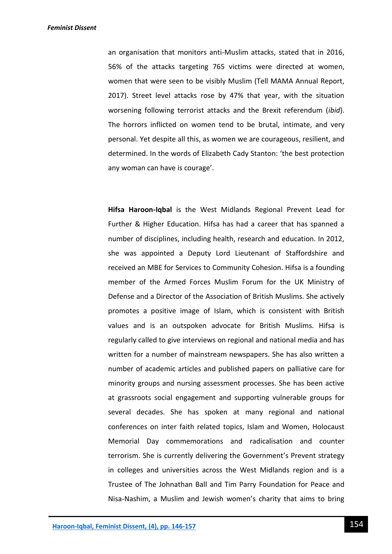an organisation that monitors anti-Muslim attacks, stated that in 2016, 56% of the attacks targeting 765 victims were directed at women, women that were seen to be visibly Muslim (Tell MAMA Annual Report, 2017). Street level attacks rose by 47% that year, with the situation worsening following terrorist attacks and the Brexit referendum (*ibid*). The horrors inflicted on women tend to be brutal, intimate, and very personal. Yet despite all this, as women we are courageous, resilient, and determined. In the words of Elizabeth Cady Stanton: 'the best protection any woman can have is courage'.

**Hifsa Haroon-Iqbal** is the West Midlands Regional Prevent Lead for Further & Higher Education. Hifsa has had a career that has spanned a number of disciplines, including health, research and education. In 2012, she was appointed a Deputy Lord Lieutenant of Staffordshire and received an MBE for Services to Community Cohesion. Hifsa is a founding member of the Armed Forces Muslim Forum for the UK Ministry of Defense and a Director of the Association of British Muslims. She actively promotes a positive image of Islam, which is consistent with British values and is an outspoken advocate for British Muslims. Hifsa is regularly called to give interviews on regional and national media and has written for a number of mainstream newspapers. She has also written a number of academic articles and published papers on palliative care for minority groups and nursing assessment processes. She has been active at grassroots social engagement and supporting vulnerable groups for several decades. She has spoken at many regional and national conferences on inter faith related topics, Islam and Women, Holocaust Memorial Day commemorations and radicalisation and counter terrorism. She is currently delivering the Government's Prevent strategy in colleges and universities across the West Midlands region and is a Trustee of The Johnathan Ball and Tim Parry Foundation for Peace and Nisa-Nashim, a Muslim and Jewish women's charity that aims to bring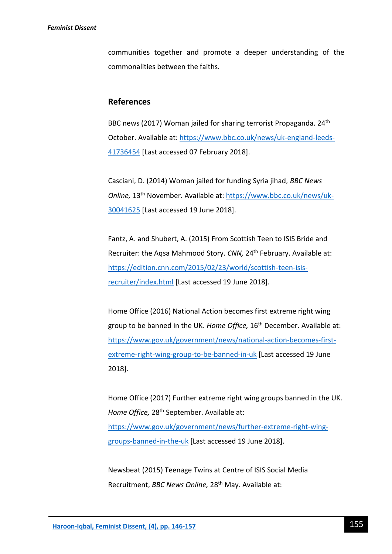communities together and promote a deeper understanding of the commonalities between the faiths.

## **References**

BBC news (2017) Woman jailed for sharing terrorist Propaganda. 24<sup>th</sup> October. Available at: [https://www.bbc.co.uk/news/uk-england-leeds-](https://www.bbc.co.uk/news/uk-england-leeds-41736454)[41736454](https://www.bbc.co.uk/news/uk-england-leeds-41736454) [Last accessed 07 February 2018].

Casciani, D. (2014) Woman jailed for funding Syria jihad, *BBC News Online,* 13th November*.* Available at: [https://www.bbc.co.uk/news/uk-](https://www.bbc.co.uk/news/uk-30041625)[30041625](https://www.bbc.co.uk/news/uk-30041625) [Last accessed 19 June 2018].

Fantz, A. and Shubert, A. (2015) From Scottish Teen to ISIS Bride and Recruiter: the Aqsa Mahmood Story. *CNN*, 24<sup>th</sup> February. Available at: [https://edition.cnn.com/2015/02/23/world/scottish-teen-isis](https://edition.cnn.com/2015/02/23/world/scottish-teen-isis-recruiter/index.html)[recruiter/index.html](https://edition.cnn.com/2015/02/23/world/scottish-teen-isis-recruiter/index.html) [Last accessed 19 June 2018].

Home Office (2016) National Action becomes first extreme right wing group to be banned in the UK. *Home Office,* 16th December. Available at: [https://www.gov.uk/government/news/national-action-becomes-first](https://www.gov.uk/government/news/national-action-becomes-first-extreme-right-wing-group-to-be-banned-in-uk)[extreme-right-wing-group-to-be-banned-in-uk](https://www.gov.uk/government/news/national-action-becomes-first-extreme-right-wing-group-to-be-banned-in-uk) [Last accessed 19 June 2018].

Home Office (2017) Further extreme right wing groups banned in the UK. *Home Office,* 28th September. Available at: [https://www.gov.uk/government/news/further-extreme-right-wing](https://www.gov.uk/government/news/further-extreme-right-wing-groups-banned-in-the-uk)[groups-banned-in-the-uk](https://www.gov.uk/government/news/further-extreme-right-wing-groups-banned-in-the-uk) [Last accessed 19 June 2018].

Newsbeat (2015) Teenage Twins at Centre of ISIS Social Media Recruitment, *BBC News Online,* 28th May. Available at: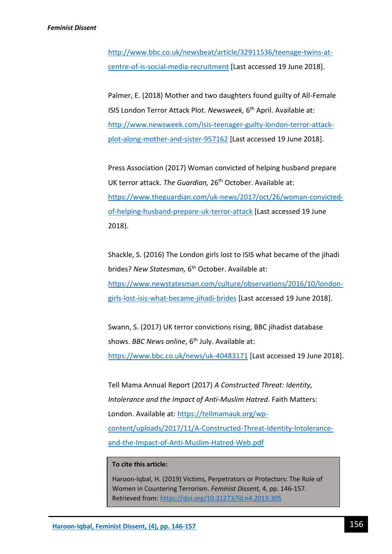[http://www.bbc.co.uk/newsbeat/article/32911536/teenage-twins-at](http://www.bbc.co.uk/newsbeat/article/32911536/teenage-twins-at-centre-of-is-social-media-recruitment)[centre-of-is-social-media-recruitment](http://www.bbc.co.uk/newsbeat/article/32911536/teenage-twins-at-centre-of-is-social-media-recruitment) [Last accessed 19 June 2018].

Palmer, E. (2018) Mother and two daughters found guilty of All-Female ISIS London Terror Attack Plot. Newsweek, 6<sup>th</sup> April. Available at: [http://www.newsweek.com/isis-teenager-guilty-london-terror-attack](http://www.newsweek.com/isis-teenager-guilty-london-terror-attack-plot-along-mother-and-sister-957162)[plot-along-mother-and-sister-957162](http://www.newsweek.com/isis-teenager-guilty-london-terror-attack-plot-along-mother-and-sister-957162) [Last accessed 19 June 2018].

Press Association (2017) Woman convicted of helping husband prepare UK terror attack. The Guardian, 26<sup>th</sup> October. Available at: [https://www.theguardian.com/uk-news/2017/oct/26/woman-convicted](https://www.theguardian.com/uk-news/2017/oct/26/woman-convicted-of-helping-husband-prepare-uk-terror-attack)[of-helping-husband-prepare-uk-terror-attack](https://www.theguardian.com/uk-news/2017/oct/26/woman-convicted-of-helping-husband-prepare-uk-terror-attack) [Last accessed 19 June 2018).

Shackle, S. (2016) The London girls lost to ISIS what became of the jihadi brides? *New Statesman,* 6 th October. Available at: [https://www.newstatesman.com/culture/observations/2016/10/london](https://www.newstatesman.com/culture/observations/2016/10/london-girls-lost-isis-what-became-jihadi-brides)[girls-lost-isis-what-became-jihadi-brides](https://www.newstatesman.com/culture/observations/2016/10/london-girls-lost-isis-what-became-jihadi-brides) [Last accessed 19 June 2018].

Swann, S. (2017) UK terror convictions rising, BBC jihadist database shows. *BBC News online*, 6<sup>th</sup> July. Available at: <https://www.bbc.co.uk/news/uk-40483171> [Last accessed 19 June 2018].

Tell Mama Annual Report (2017) *A Constructed Threat: Identity, Intolerance and the Impact of Anti-Muslim Hatred*. Faith Matters: London. Available at: [https://tellmamauk.org/wp](https://tellmamauk.org/wp-content/uploads/2017/11/A-Constructed-Threat-Identity-Intolerance-and-the-Impact-of-Anti-Muslim-Hatred-Web.pdf)[content/uploads/2017/11/A-Constructed-Threat-Identity-Intolerance](https://tellmamauk.org/wp-content/uploads/2017/11/A-Constructed-Threat-Identity-Intolerance-and-the-Impact-of-Anti-Muslim-Hatred-Web.pdf)[and-the-Impact-of-Anti-Muslim-Hatred-Web.pdf](https://tellmamauk.org/wp-content/uploads/2017/11/A-Constructed-Threat-Identity-Intolerance-and-the-Impact-of-Anti-Muslim-Hatred-Web.pdf)

### **To cite this article:**

Haroon-Iqbal, H. (2019) Victims, Perpetrators or Protectors: The Role of Women in Countering Terrorism. *Feminist Dissent,* 4, pp. 146-157. Retrieved from:<https://doi.org/10.31273/fd.n4.2019.305>